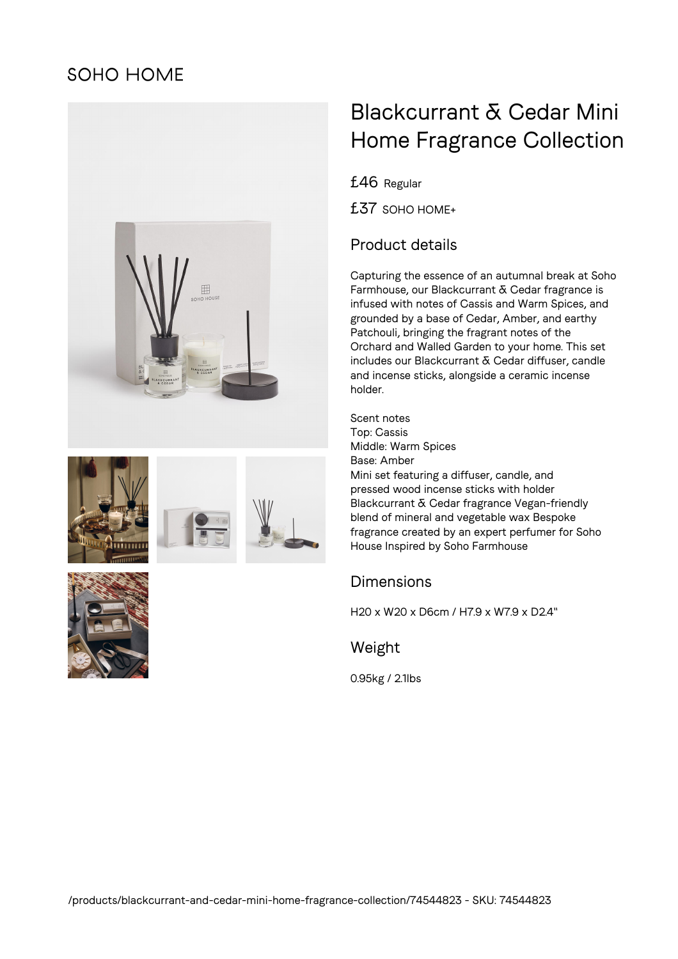## **SOHO HOME**







# Blackcurrant & Cedar Mini Home Fragrance Collection

£46 Regular

£37 SOHO HOME+

### Product details

Capturing the essence of an autumnal break at Soho Farmhouse, our Blackcurrant & Cedar fragrance is infused with notes of Cassis and Warm Spices, and grounded by a base of Cedar, Amber, and earthy Patchouli, bringing the fragrant notes of the Orchard and Walled Garden to your home. This set includes our Blackcurrant & Cedar diffuser, candle and incense sticks, alongside a ceramic incense holder.

Scent notes Top: Cassis Middle: Warm Spices Base: Amber Mini set featuring a diffuser, candle, and pressed wood incense sticks with holder Blackcurrant & Cedar fragrance Vegan-friendly blend of mineral and vegetable wax Bespoke fragrance created by an expert perfumer for Soho House Inspired by Soho Farmhouse

#### **Dimensions**

H20 x W20 x D6cm / H7.9 x W7.9 x D2.4"

Weight

0.95kg / 2.1lbs